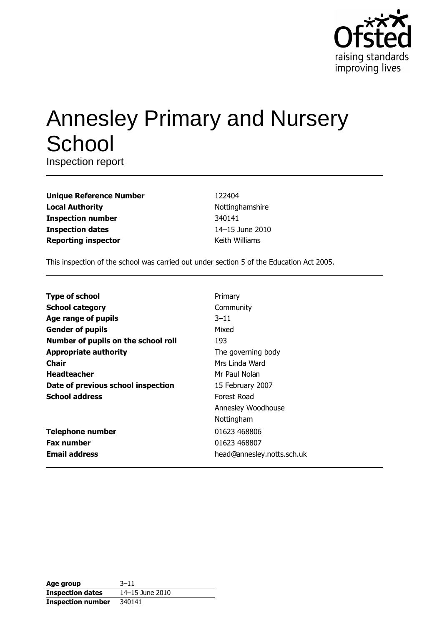

# **Annesley Primary and Nursery** School

Inspection report

| <b>Unique Reference Number</b> |
|--------------------------------|
| <b>Local Authority</b>         |
| <b>Inspection number</b>       |
| <b>Inspection dates</b>        |
| <b>Reporting inspector</b>     |

122404 Nottinghamshire 340141 14-15 June 2010 Keith Williams

This inspection of the school was carried out under section 5 of the Education Act 2005.

| <b>Type of school</b>               | Primary                    |
|-------------------------------------|----------------------------|
| <b>School category</b>              | Community                  |
| <b>Age range of pupils</b>          | $3 - 11$                   |
| <b>Gender of pupils</b>             | Mixed                      |
| Number of pupils on the school roll | 193                        |
| <b>Appropriate authority</b>        | The governing body         |
| <b>Chair</b>                        | Mrs Linda Ward             |
| <b>Headteacher</b>                  | Mr Paul Nolan              |
| Date of previous school inspection  | 15 February 2007           |
| <b>School address</b>               | Forest Road                |
|                                     | Annesley Woodhouse         |
|                                     | Nottingham                 |
| <b>Telephone number</b>             | 01623 468806               |
| <b>Fax number</b>                   | 01623 468807               |
| <b>Email address</b>                | head@annesley.notts.sch.uk |

| Age group                | $3 - 11$        |
|--------------------------|-----------------|
| <b>Inspection dates</b>  | 14–15 June 2010 |
| <b>Inspection number</b> | 340141          |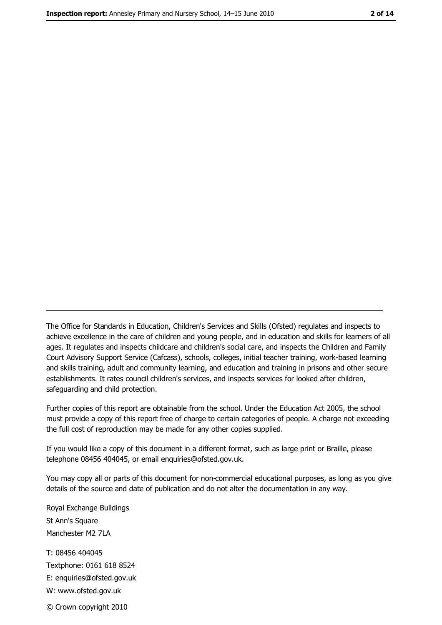The Office for Standards in Education, Children's Services and Skills (Ofsted) regulates and inspects to achieve excellence in the care of children and young people, and in education and skills for learners of all ages. It regulates and inspects childcare and children's social care, and inspects the Children and Family Court Advisory Support Service (Cafcass), schools, colleges, initial teacher training, work-based learning and skills training, adult and community learning, and education and training in prisons and other secure establishments. It rates council children's services, and inspects services for looked after children, safequarding and child protection.

Further copies of this report are obtainable from the school. Under the Education Act 2005, the school must provide a copy of this report free of charge to certain categories of people. A charge not exceeding the full cost of reproduction may be made for any other copies supplied.

If you would like a copy of this document in a different format, such as large print or Braille, please telephone 08456 404045, or email enquiries@ofsted.gov.uk.

You may copy all or parts of this document for non-commercial educational purposes, as long as you give details of the source and date of publication and do not alter the documentation in any way.

Royal Exchange Buildings St Ann's Square Manchester M2 7LA T: 08456 404045 Textphone: 0161 618 8524 E: enquiries@ofsted.gov.uk W: www.ofsted.gov.uk

© Crown copyright 2010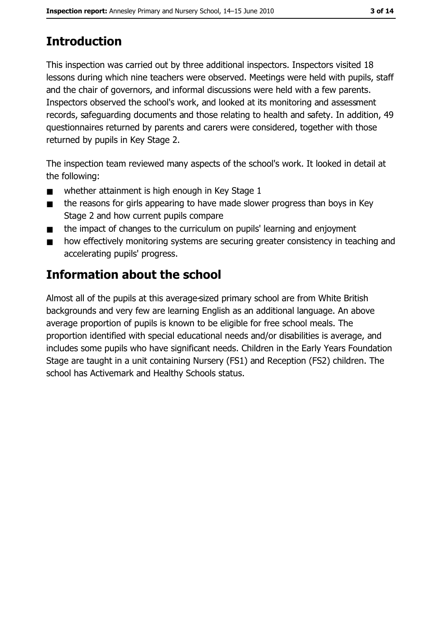# **Introduction**

This inspection was carried out by three additional inspectors. Inspectors visited 18 lessons during which nine teachers were observed. Meetings were held with pupils, staff and the chair of governors, and informal discussions were held with a few parents. Inspectors observed the school's work, and looked at its monitoring and assessment records, safequarding documents and those relating to health and safety. In addition, 49 questionnaires returned by parents and carers were considered, together with those returned by pupils in Key Stage 2.

The inspection team reviewed many aspects of the school's work. It looked in detail at the following:

- whether attainment is high enough in Key Stage 1  $\blacksquare$
- the reasons for girls appearing to have made slower progress than boys in Key  $\blacksquare$ Stage 2 and how current pupils compare
- the impact of changes to the curriculum on pupils' learning and enjoyment  $\blacksquare$
- how effectively monitoring systems are securing greater consistency in teaching and  $\blacksquare$ accelerating pupils' progress.

# **Information about the school**

Almost all of the pupils at this average-sized primary school are from White British backgrounds and very few are learning English as an additional language. An above average proportion of pupils is known to be eligible for free school meals. The proportion identified with special educational needs and/or disabilities is average, and includes some pupils who have significant needs. Children in the Early Years Foundation Stage are taught in a unit containing Nursery (FS1) and Reception (FS2) children. The school has Activemark and Healthy Schools status.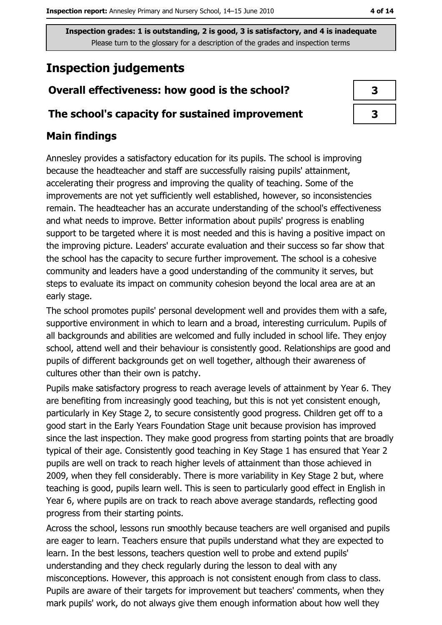# **Inspection judgements**

## Overall effectiveness: how good is the school?

## The school's capacity for sustained improvement

## **Main findings**

Annesley provides a satisfactory education for its pupils. The school is improving because the headteacher and staff are successfully raising pupils' attainment, accelerating their progress and improving the quality of teaching. Some of the improvements are not yet sufficiently well established, however, so inconsistencies remain. The headteacher has an accurate understanding of the school's effectiveness and what needs to improve. Better information about pupils' progress is enabling support to be targeted where it is most needed and this is having a positive impact on the improving picture. Leaders' accurate evaluation and their success so far show that the school has the capacity to secure further improvement. The school is a cohesive community and leaders have a good understanding of the community it serves, but steps to evaluate its impact on community cohesion beyond the local area are at an early stage.

The school promotes pupils' personal development well and provides them with a safe, supportive environment in which to learn and a broad, interesting curriculum. Pupils of all backgrounds and abilities are welcomed and fully included in school life. They enjoy school, attend well and their behaviour is consistently good. Relationships are good and pupils of different backgrounds get on well together, although their awareness of cultures other than their own is patchy.

Pupils make satisfactory progress to reach average levels of attainment by Year 6. They are benefiting from increasingly good teaching, but this is not yet consistent enough, particularly in Key Stage 2, to secure consistently good progress. Children get off to a good start in the Early Years Foundation Stage unit because provision has improved since the last inspection. They make good progress from starting points that are broadly typical of their age. Consistently good teaching in Key Stage 1 has ensured that Year 2 pupils are well on track to reach higher levels of attainment than those achieved in 2009, when they fell considerably. There is more variability in Key Stage 2 but, where teaching is good, pupils learn well. This is seen to particularly good effect in English in Year 6, where pupils are on track to reach above average standards, reflecting good progress from their starting points.

Across the school, lessons run smoothly because teachers are well organised and pupils are eager to learn. Teachers ensure that pupils understand what they are expected to learn. In the best lessons, teachers question well to probe and extend pupils' understanding and they check regularly during the lesson to deal with any misconceptions. However, this approach is not consistent enough from class to class. Pupils are aware of their targets for improvement but teachers' comments, when they mark pupils' work, do not always give them enough information about how well they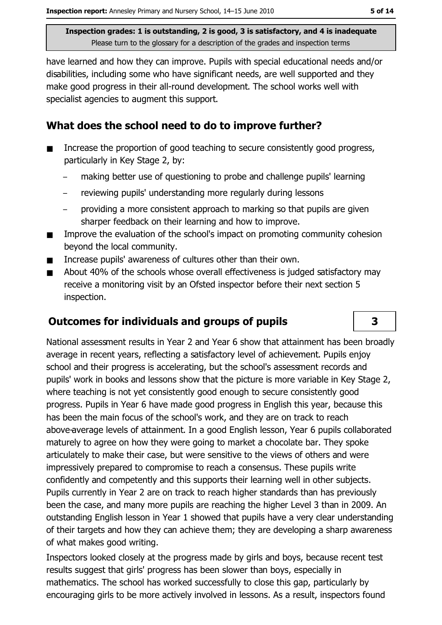have learned and how they can improve. Pupils with special educational needs and/or disabilities, including some who have significant needs, are well supported and they make good progress in their all-round development. The school works well with specialist agencies to augment this support.

## What does the school need to do to improve further?

- Increase the proportion of good teaching to secure consistently good progress,  $\blacksquare$ particularly in Key Stage 2, by:
	- making better use of questioning to probe and challenge pupils' learning
	- reviewing pupils' understanding more regularly during lessons
	- providing a more consistent approach to marking so that pupils are given sharper feedback on their learning and how to improve.
- Improve the evaluation of the school's impact on promoting community cohesion  $\blacksquare$ beyond the local community.
- Increase pupils' awareness of cultures other than their own. .
- About 40% of the schools whose overall effectiveness is judged satisfactory may  $\blacksquare$ receive a monitoring visit by an Ofsted inspector before their next section 5 inspection.

## **Outcomes for individuals and groups of pupils**

National assessment results in Year 2 and Year 6 show that attainment has been broadly average in recent years, reflecting a satisfactory level of achievement. Pupils enjoy school and their progress is accelerating, but the school's assessment records and pupils' work in books and lessons show that the picture is more variable in Key Stage 2, where teaching is not yet consistently good enough to secure consistently good progress. Pupils in Year 6 have made good progress in English this year, because this has been the main focus of the school's work, and they are on track to reach above-average levels of attainment. In a good English lesson, Year 6 pupils collaborated maturely to agree on how they were going to market a chocolate bar. They spoke articulately to make their case, but were sensitive to the views of others and were impressively prepared to compromise to reach a consensus. These pupils write confidently and competently and this supports their learning well in other subjects. Pupils currently in Year 2 are on track to reach higher standards than has previously been the case, and many more pupils are reaching the higher Level 3 than in 2009. An outstanding English lesson in Year 1 showed that pupils have a very clear understanding of their targets and how they can achieve them; they are developing a sharp awareness of what makes good writing.

Inspectors looked closely at the progress made by girls and boys, because recent test results suggest that girls' progress has been slower than boys, especially in mathematics. The school has worked successfully to close this gap, particularly by encouraging girls to be more actively involved in lessons. As a result, inspectors found

3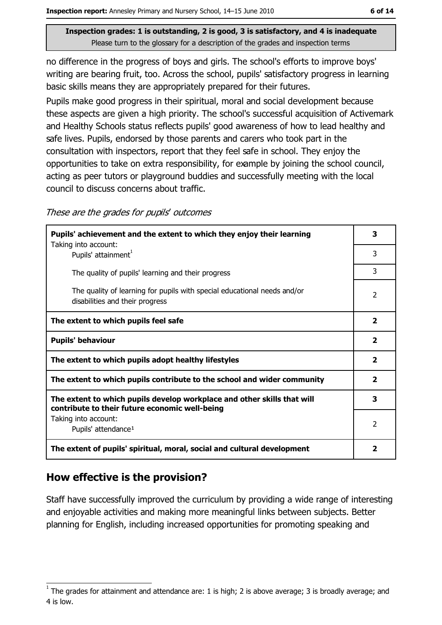no difference in the progress of boys and girls. The school's efforts to improve boys' writing are bearing fruit, too. Across the school, pupils' satisfactory progress in learning basic skills means they are appropriately prepared for their futures.

Pupils make good progress in their spiritual, moral and social development because these aspects are given a high priority. The school's successful acquisition of Activemark and Healthy Schools status reflects pupils' good awareness of how to lead healthy and safe lives. Pupils, endorsed by those parents and carers who took part in the consultation with inspectors, report that they feel safe in school. They enjoy the opportunities to take on extra responsibility, for example by joining the school council, acting as peer tutors or playground buddies and successfully meeting with the local council to discuss concerns about traffic.

These are the grades for pupils' outcomes

| Pupils' achievement and the extent to which they enjoy their learning<br>Taking into account:                             | 3                       |
|---------------------------------------------------------------------------------------------------------------------------|-------------------------|
| Pupils' attainment <sup>1</sup>                                                                                           | 3                       |
| The quality of pupils' learning and their progress                                                                        | 3                       |
| The quality of learning for pupils with special educational needs and/or<br>disabilities and their progress               | 2                       |
| The extent to which pupils feel safe                                                                                      | $\overline{\mathbf{2}}$ |
| <b>Pupils' behaviour</b>                                                                                                  | $\overline{2}$          |
| The extent to which pupils adopt healthy lifestyles                                                                       | $\mathbf{2}$            |
| The extent to which pupils contribute to the school and wider community                                                   | $\mathbf{2}$            |
| The extent to which pupils develop workplace and other skills that will<br>contribute to their future economic well-being | 3                       |
| Taking into account:<br>Pupils' attendance <sup>1</sup>                                                                   | 2                       |
| The extent of pupils' spiritual, moral, social and cultural development                                                   | $\overline{\mathbf{2}}$ |

# How effective is the provision?

Staff have successfully improved the curriculum by providing a wide range of interesting and enjoyable activities and making more meaningful links between subjects. Better planning for English, including increased opportunities for promoting speaking and

The grades for attainment and attendance are: 1 is high; 2 is above average; 3 is broadly average; and 4 is low.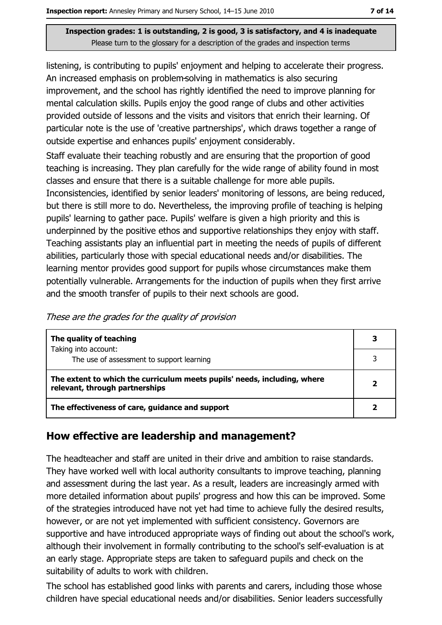listening, is contributing to pupils' enjoyment and helping to accelerate their progress. An increased emphasis on problem-solving in mathematics is also securing improvement, and the school has rightly identified the need to improve planning for mental calculation skills. Pupils enjoy the good range of clubs and other activities provided outside of lessons and the visits and visitors that enrich their learning. Of particular note is the use of 'creative partnerships', which draws together a range of outside expertise and enhances pupils' enjoyment considerably.

Staff evaluate their teaching robustly and are ensuring that the proportion of good teaching is increasing. They plan carefully for the wide range of ability found in most classes and ensure that there is a suitable challenge for more able pupils. Inconsistencies, identified by senior leaders' monitoring of lessons, are being reduced, but there is still more to do. Nevertheless, the improving profile of teaching is helping pupils' learning to gather pace. Pupils' welfare is given a high priority and this is underpinned by the positive ethos and supportive relationships they enjoy with staff. Teaching assistants play an influential part in meeting the needs of pupils of different abilities, particularly those with special educational needs and/or disabilities. The learning mentor provides good support for pupils whose circumstances make them potentially vulnerable. Arrangements for the induction of pupils when they first arrive and the smooth transfer of pupils to their next schools are good.

| These are the grades for the quality of provision |  |
|---------------------------------------------------|--|
|---------------------------------------------------|--|

| The quality of teaching                                                                                    | 3            |
|------------------------------------------------------------------------------------------------------------|--------------|
| Taking into account:<br>The use of assessment to support learning                                          |              |
| The extent to which the curriculum meets pupils' needs, including, where<br>relevant, through partnerships | $\mathbf{2}$ |
| The effectiveness of care, guidance and support                                                            |              |

# How effective are leadership and management?

The headteacher and staff are united in their drive and ambition to raise standards. They have worked well with local authority consultants to improve teaching, planning and assessment during the last year. As a result, leaders are increasingly armed with more detailed information about pupils' progress and how this can be improved. Some of the strategies introduced have not yet had time to achieve fully the desired results, however, or are not yet implemented with sufficient consistency. Governors are supportive and have introduced appropriate ways of finding out about the school's work, although their involvement in formally contributing to the school's self-evaluation is at an early stage. Appropriate steps are taken to safeguard pupils and check on the suitability of adults to work with children.

The school has established good links with parents and carers, including those whose children have special educational needs and/or disabilities. Senior leaders successfully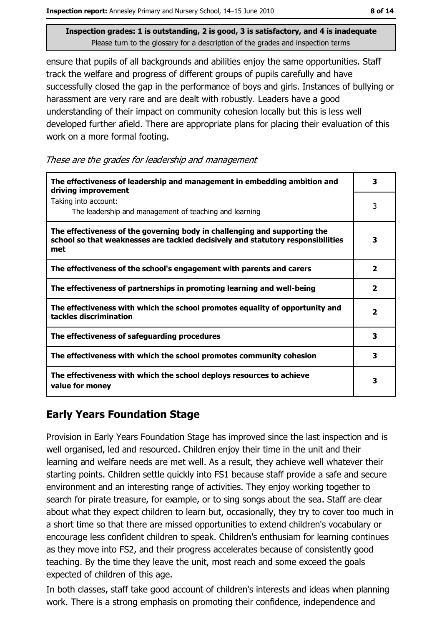ensure that pupils of all backgrounds and abilities enjoy the same opportunities. Staff track the welfare and progress of different groups of pupils carefully and have successfully closed the gap in the performance of boys and girls. Instances of bullying or harassment are very rare and are dealt with robustly. Leaders have a good understanding of their impact on community cohesion locally but this is less well developed further afield. There are appropriate plans for placing their evaluation of this work on a more formal footing.

These are the grades for leadership and management

| The effectiveness of leadership and management in embedding ambition and<br>driving improvement                                                                     | 3                       |
|---------------------------------------------------------------------------------------------------------------------------------------------------------------------|-------------------------|
| Taking into account:<br>The leadership and management of teaching and learning                                                                                      | 3                       |
| The effectiveness of the governing body in challenging and supporting the<br>school so that weaknesses are tackled decisively and statutory responsibilities<br>met | 3                       |
| The effectiveness of the school's engagement with parents and carers                                                                                                | $\overline{\mathbf{2}}$ |
| The effectiveness of partnerships in promoting learning and well-being                                                                                              | $\overline{\mathbf{2}}$ |
| The effectiveness with which the school promotes equality of opportunity and<br>tackles discrimination                                                              | $\overline{\mathbf{2}}$ |
| The effectiveness of safeguarding procedures                                                                                                                        | 3                       |
| The effectiveness with which the school promotes community cohesion                                                                                                 | 3                       |
| The effectiveness with which the school deploys resources to achieve<br>value for money                                                                             | 3                       |

# **Early Years Foundation Stage**

Provision in Early Years Foundation Stage has improved since the last inspection and is well organised, led and resourced. Children enjoy their time in the unit and their learning and welfare needs are met well. As a result, they achieve well whatever their starting points. Children settle quickly into FS1 because staff provide a safe and secure environment and an interesting range of activities. They enjoy working together to search for pirate treasure, for example, or to sing songs about the sea. Staff are clear about what they expect children to learn but, occasionally, they try to cover too much in a short time so that there are missed opportunities to extend children's vocabulary or encourage less confident children to speak. Children's enthusiam for learning continues as they move into FS2, and their progress accelerates because of consistently good teaching. By the time they leave the unit, most reach and some exceed the goals expected of children of this age.

In both classes, staff take good account of children's interests and ideas when planning work. There is a strong emphasis on promoting their confidence, independence and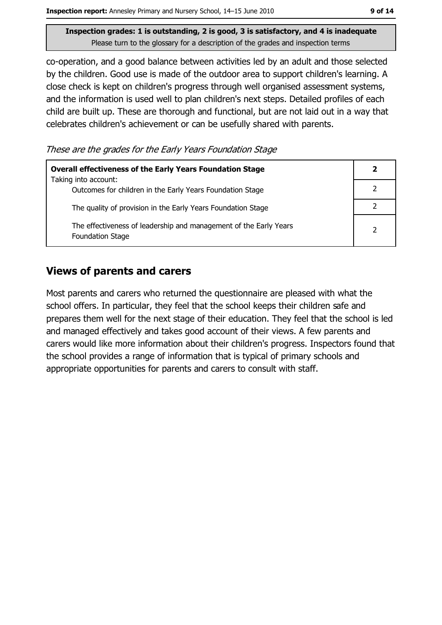co-operation, and a good balance between activities led by an adult and those selected by the children. Good use is made of the outdoor area to support children's learning. A close check is kept on children's progress through well organised assessment systems, and the information is used well to plan children's next steps. Detailed profiles of each child are built up. These are thorough and functional, but are not laid out in a way that celebrates children's achievement or can be usefully shared with parents.

These are the grades for the Early Years Foundation Stage

| <b>Overall effectiveness of the Early Years Foundation Stage</b>                             |                |
|----------------------------------------------------------------------------------------------|----------------|
| Taking into account:<br>Outcomes for children in the Early Years Foundation Stage            |                |
| The quality of provision in the Early Years Foundation Stage                                 |                |
| The effectiveness of leadership and management of the Early Years<br><b>Foundation Stage</b> | $\overline{2}$ |

## **Views of parents and carers**

Most parents and carers who returned the questionnaire are pleased with what the school offers. In particular, they feel that the school keeps their children safe and prepares them well for the next stage of their education. They feel that the school is led and managed effectively and takes good account of their views. A few parents and carers would like more information about their children's progress. Inspectors found that the school provides a range of information that is typical of primary schools and appropriate opportunities for parents and carers to consult with staff.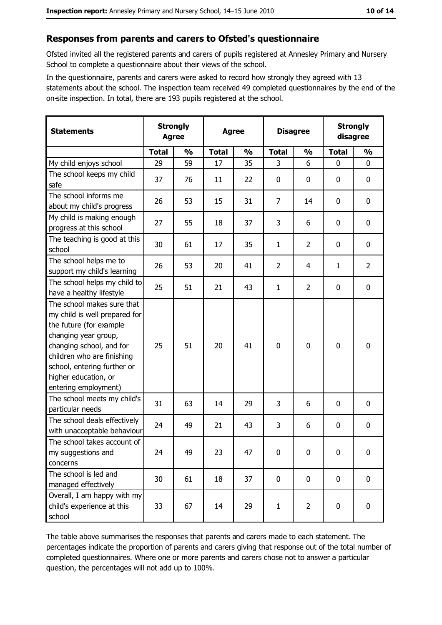#### Responses from parents and carers to Ofsted's questionnaire

Ofsted invited all the registered parents and carers of pupils registered at Annesley Primary and Nursery School to complete a questionnaire about their views of the school.

In the questionnaire, parents and carers were asked to record how strongly they agreed with 13 statements about the school. The inspection team received 49 completed questionnaires by the end of the on-site inspection. In total, there are 193 pupils registered at the school.

| <b>Statements</b>                                                                                                                                                                                                                                       | <b>Strongly</b><br><b>Agree</b> |               | <b>Agree</b> |               |                | <b>Disagree</b> |              | <b>Strongly</b><br>disagree |  |
|---------------------------------------------------------------------------------------------------------------------------------------------------------------------------------------------------------------------------------------------------------|---------------------------------|---------------|--------------|---------------|----------------|-----------------|--------------|-----------------------------|--|
|                                                                                                                                                                                                                                                         | <b>Total</b>                    | $\frac{0}{0}$ | <b>Total</b> | $\frac{0}{0}$ | <b>Total</b>   | $\frac{0}{0}$   | <b>Total</b> | $\frac{0}{0}$               |  |
| My child enjoys school                                                                                                                                                                                                                                  | 29                              | 59            | 17           | 35            | 3              | 6               | $\mathbf{0}$ | 0                           |  |
| The school keeps my child<br>safe                                                                                                                                                                                                                       | 37                              | 76            | 11           | 22            | $\mathbf 0$    | 0               | 0            | 0                           |  |
| The school informs me<br>about my child's progress                                                                                                                                                                                                      | 26                              | 53            | 15           | 31            | $\overline{7}$ | 14              | 0            | 0                           |  |
| My child is making enough<br>progress at this school                                                                                                                                                                                                    | 27                              | 55            | 18           | 37            | 3              | 6               | 0            | $\mathbf 0$                 |  |
| The teaching is good at this<br>school                                                                                                                                                                                                                  | 30                              | 61            | 17           | 35            | 1              | $\overline{2}$  | 0            | $\mathbf 0$                 |  |
| The school helps me to<br>support my child's learning                                                                                                                                                                                                   | 26                              | 53            | 20           | 41            | $\overline{2}$ | 4               | 1            | $\overline{2}$              |  |
| The school helps my child to<br>have a healthy lifestyle                                                                                                                                                                                                | 25                              | 51            | 21           | 43            | $\mathbf{1}$   | $\overline{2}$  | 0            | $\boldsymbol{0}$            |  |
| The school makes sure that<br>my child is well prepared for<br>the future (for example<br>changing year group,<br>changing school, and for<br>children who are finishing<br>school, entering further or<br>higher education, or<br>entering employment) | 25                              | 51            | 20           | 41            | $\mathbf 0$    | 0               | 0            | $\mathbf 0$                 |  |
| The school meets my child's<br>particular needs                                                                                                                                                                                                         | 31                              | 63            | 14           | 29            | 3              | 6               | 0            | $\mathbf 0$                 |  |
| The school deals effectively<br>with unacceptable behaviour                                                                                                                                                                                             | 24                              | 49            | 21           | 43            | 3              | 6               | 0            | 0                           |  |
| The school takes account of<br>my suggestions and<br>concerns                                                                                                                                                                                           | 24                              | 49            | 23           | 47            | 0              | 0               | 0            | $\boldsymbol{0}$            |  |
| The school is led and<br>managed effectively                                                                                                                                                                                                            | 30                              | 61            | 18           | 37            | $\mathbf 0$    | 0               | 0            | $\mathbf 0$                 |  |
| Overall, I am happy with my<br>child's experience at this<br>school                                                                                                                                                                                     | 33                              | 67            | 14           | 29            | $\mathbf{1}$   | $\overline{2}$  | 0            | 0                           |  |

The table above summarises the responses that parents and carers made to each statement. The percentages indicate the proportion of parents and carers giving that response out of the total number of completed questionnaires. Where one or more parents and carers chose not to answer a particular question, the percentages will not add up to 100%.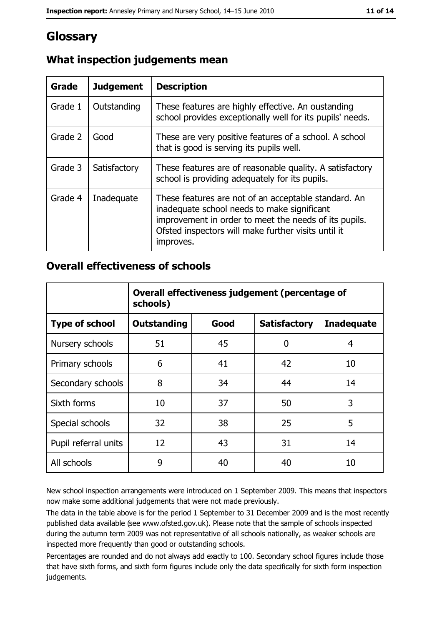# Glossary

| Grade   | <b>Judgement</b> | <b>Description</b>                                                                                                                                                                                                               |  |
|---------|------------------|----------------------------------------------------------------------------------------------------------------------------------------------------------------------------------------------------------------------------------|--|
| Grade 1 | Outstanding      | These features are highly effective. An oustanding<br>school provides exceptionally well for its pupils' needs.                                                                                                                  |  |
| Grade 2 | Good             | These are very positive features of a school. A school<br>that is good is serving its pupils well.                                                                                                                               |  |
| Grade 3 | Satisfactory     | These features are of reasonable quality. A satisfactory<br>school is providing adequately for its pupils.                                                                                                                       |  |
| Grade 4 | Inadequate       | These features are not of an acceptable standard. An<br>inadequate school needs to make significant<br>improvement in order to meet the needs of its pupils.<br>Ofsted inspectors will make further visits until it<br>improves. |  |

# What inspection judgements mean

## **Overall effectiveness of schools**

|                       | Overall effectiveness judgement (percentage of<br>schools) |      |                     |                   |
|-----------------------|------------------------------------------------------------|------|---------------------|-------------------|
| <b>Type of school</b> | <b>Outstanding</b>                                         | Good | <b>Satisfactory</b> | <b>Inadequate</b> |
| Nursery schools       | 51                                                         | 45   | 0                   | 4                 |
| Primary schools       | 6                                                          | 41   | 42                  | 10                |
| Secondary schools     | 8                                                          | 34   | 44                  | 14                |
| Sixth forms           | 10                                                         | 37   | 50                  | 3                 |
| Special schools       | 32                                                         | 38   | 25                  | 5                 |
| Pupil referral units  | 12                                                         | 43   | 31                  | 14                |
| All schools           | 9                                                          | 40   | 40                  | 10                |

New school inspection arrangements were introduced on 1 September 2009. This means that inspectors now make some additional judgements that were not made previously.

The data in the table above is for the period 1 September to 31 December 2009 and is the most recently published data available (see www.ofsted.gov.uk). Please note that the sample of schools inspected during the autumn term 2009 was not representative of all schools nationally, as weaker schools are inspected more frequently than good or outstanding schools.

Percentages are rounded and do not always add exactly to 100. Secondary school figures include those that have sixth forms, and sixth form figures include only the data specifically for sixth form inspection judgements.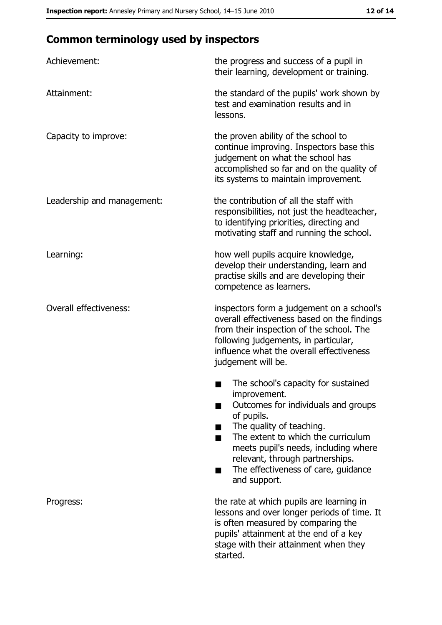# **Common terminology used by inspectors**

| Achievement:                  | the progress and success of a pupil in<br>their learning, development or training.                                                                                                                                                                                                                           |
|-------------------------------|--------------------------------------------------------------------------------------------------------------------------------------------------------------------------------------------------------------------------------------------------------------------------------------------------------------|
| Attainment:                   | the standard of the pupils' work shown by<br>test and examination results and in<br>lessons.                                                                                                                                                                                                                 |
| Capacity to improve:          | the proven ability of the school to<br>continue improving. Inspectors base this<br>judgement on what the school has<br>accomplished so far and on the quality of<br>its systems to maintain improvement.                                                                                                     |
| Leadership and management:    | the contribution of all the staff with<br>responsibilities, not just the headteacher,<br>to identifying priorities, directing and<br>motivating staff and running the school.                                                                                                                                |
| Learning:                     | how well pupils acquire knowledge,<br>develop their understanding, learn and<br>practise skills and are developing their<br>competence as learners.                                                                                                                                                          |
| <b>Overall effectiveness:</b> | inspectors form a judgement on a school's<br>overall effectiveness based on the findings<br>from their inspection of the school. The<br>following judgements, in particular,<br>influence what the overall effectiveness<br>judgement will be.                                                               |
|                               | The school's capacity for sustained<br>improvement.<br>Outcomes for individuals and groups<br>of pupils.<br>The quality of teaching.<br>The extent to which the curriculum<br>meets pupil's needs, including where<br>relevant, through partnerships.<br>The effectiveness of care, guidance<br>and support. |
| Progress:                     | the rate at which pupils are learning in<br>lessons and over longer periods of time. It<br>is often measured by comparing the<br>pupils' attainment at the end of a key<br>stage with their attainment when they<br>started.                                                                                 |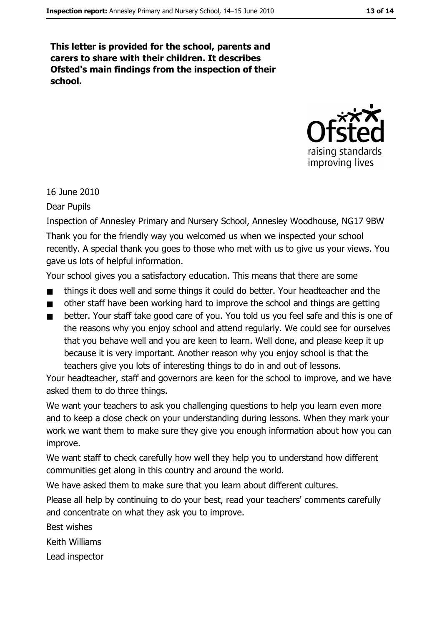This letter is provided for the school, parents and carers to share with their children. It describes Ofsted's main findings from the inspection of their school.



16 June 2010

**Dear Pupils** 

Inspection of Annesley Primary and Nursery School, Annesley Woodhouse, NG17 9BW Thank you for the friendly way you welcomed us when we inspected your school recently. A special thank you goes to those who met with us to give us your views. You gave us lots of helpful information.

Your school gives you a satisfactory education. This means that there are some

- things it does well and some things it could do better. Your headteacher and the
- other staff have been working hard to improve the school and things are getting  $\blacksquare$
- better. Your staff take good care of you. You told us you feel safe and this is one of  $\blacksquare$ the reasons why you enjoy school and attend regularly. We could see for ourselves that you behave well and you are keen to learn. Well done, and please keep it up because it is very important. Another reason why you enjoy school is that the teachers give you lots of interesting things to do in and out of lessons.

Your headteacher, staff and governors are keen for the school to improve, and we have asked them to do three things.

We want your teachers to ask you challenging questions to help you learn even more and to keep a close check on your understanding during lessons. When they mark your work we want them to make sure they give you enough information about how you can improve.

We want staff to check carefully how well they help you to understand how different communities get along in this country and around the world.

We have asked them to make sure that you learn about different cultures.

Please all help by continuing to do your best, read your teachers' comments carefully and concentrate on what they ask you to improve.

**Best wishes** 

Keith Williams

Lead inspector